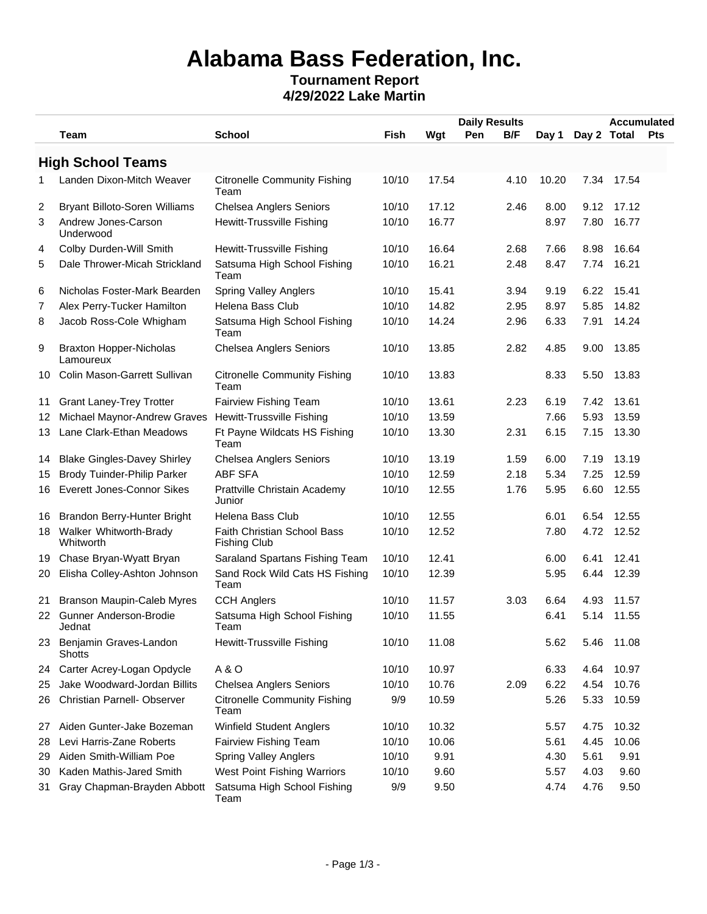# **Alabama Bass Federation, Inc.**

### **Tournament Report 4/29/2022 Lake Martin**

|    |                                             |                                                    |             |       |     | <b>Daily Results</b><br><b>Accumulated</b> |       |             |            |     |
|----|---------------------------------------------|----------------------------------------------------|-------------|-------|-----|--------------------------------------------|-------|-------------|------------|-----|
|    | Team                                        | <b>School</b>                                      | <b>Fish</b> | Wgt   | Pen | B/F                                        | Day 1 | Day 2 Total |            | Pts |
|    | <b>High School Teams</b>                    |                                                    |             |       |     |                                            |       |             |            |     |
| 1  | Landen Dixon-Mitch Weaver                   | <b>Citronelle Community Fishing</b><br>Team        | 10/10       | 17.54 |     | 4.10                                       | 10.20 | 7.34        | 17.54      |     |
| 2  | Bryant Billoto-Soren Williams               | <b>Chelsea Anglers Seniors</b>                     | 10/10       | 17.12 |     | 2.46                                       | 8.00  | 9.12        | 17.12      |     |
| 3  | Andrew Jones-Carson<br>Underwood            | Hewitt-Trussville Fishing                          | 10/10       | 16.77 |     |                                            | 8.97  | 7.80        | 16.77      |     |
| 4  | Colby Durden-Will Smith                     | <b>Hewitt-Trussville Fishing</b>                   | 10/10       | 16.64 |     | 2.68                                       | 7.66  | 8.98        | 16.64      |     |
| 5  | Dale Thrower-Micah Strickland               | Satsuma High School Fishing<br>Team                | 10/10       | 16.21 |     | 2.48                                       | 8.47  | 7.74        | 16.21      |     |
| 6  | Nicholas Foster-Mark Bearden                | <b>Spring Valley Anglers</b>                       | 10/10       | 15.41 |     | 3.94                                       | 9.19  | 6.22        | 15.41      |     |
| 7  | Alex Perry-Tucker Hamilton                  | Helena Bass Club                                   | 10/10       | 14.82 |     | 2.95                                       | 8.97  | 5.85        | 14.82      |     |
| 8  | Jacob Ross-Cole Whigham                     | Satsuma High School Fishing<br>Team                | 10/10       | 14.24 |     | 2.96                                       | 6.33  | 7.91        | 14.24      |     |
| 9  | <b>Braxton Hopper-Nicholas</b><br>Lamoureux | <b>Chelsea Anglers Seniors</b>                     | 10/10       | 13.85 |     | 2.82                                       | 4.85  | 9.00        | 13.85      |     |
| 10 | Colin Mason-Garrett Sullivan                | <b>Citronelle Community Fishing</b><br>Team        | 10/10       | 13.83 |     |                                            | 8.33  | 5.50        | 13.83      |     |
| 11 | <b>Grant Laney-Trey Trotter</b>             | Fairview Fishing Team                              | 10/10       | 13.61 |     | 2.23                                       | 6.19  | 7.42        | 13.61      |     |
|    | 12 Michael Maynor-Andrew Graves             | <b>Hewitt-Trussville Fishing</b>                   | 10/10       | 13.59 |     |                                            | 7.66  | 5.93        | 13.59      |     |
|    | 13 Lane Clark-Ethan Meadows                 | Ft Payne Wildcats HS Fishing<br>Team               | 10/10       | 13.30 |     | 2.31                                       | 6.15  | 7.15        | 13.30      |     |
| 14 | <b>Blake Gingles-Davey Shirley</b>          | Chelsea Anglers Seniors                            | 10/10       | 13.19 |     | 1.59                                       | 6.00  | 7.19        | 13.19      |     |
| 15 | Brody Tuinder-Philip Parker                 | <b>ABF SFA</b>                                     | 10/10       | 12.59 |     | 2.18                                       | 5.34  | 7.25        | 12.59      |     |
|    | 16 Everett Jones-Connor Sikes               | Prattville Christain Academy<br>Junior             | 10/10       | 12.55 |     | 1.76                                       | 5.95  |             | 6.60 12.55 |     |
|    | 16 Brandon Berry-Hunter Bright              | Helena Bass Club                                   | 10/10       | 12.55 |     |                                            | 6.01  | 6.54        | 12.55      |     |
|    | 18 Walker Whitworth-Brady<br>Whitworth      | Faith Christian School Bass<br><b>Fishing Club</b> | 10/10       | 12.52 |     |                                            | 7.80  |             | 4.72 12.52 |     |
|    | 19 Chase Bryan-Wyatt Bryan                  | Saraland Spartans Fishing Team                     | 10/10       | 12.41 |     |                                            | 6.00  | 6.41        | 12.41      |     |
|    | 20 Elisha Colley-Ashton Johnson             | Sand Rock Wild Cats HS Fishing<br>Team             | 10/10       | 12.39 |     |                                            | 5.95  | 6.44        | 12.39      |     |
| 21 | <b>Branson Maupin-Caleb Myres</b>           | <b>CCH Anglers</b>                                 | 10/10       | 11.57 |     | 3.03                                       | 6.64  | 4.93        | 11.57      |     |
| 22 | Gunner Anderson-Brodie<br>Jednat            | Satsuma High School Fishing<br>Team                | 10/10       | 11.55 |     |                                            | 6.41  | 5.14        | 11.55      |     |
| 23 | Benjamin Graves-Landon<br>Shotts            | Hewitt-Trussville Fishing                          | 10/10       | 11.08 |     |                                            | 5.62  | 5.46        | 11.08      |     |
| 24 | Carter Acrey-Logan Opdycle                  | A & O                                              | 10/10       | 10.97 |     |                                            | 6.33  | 4.64        | 10.97      |     |
| 25 | Jake Woodward-Jordan Billits                | <b>Chelsea Anglers Seniors</b>                     | 10/10       | 10.76 |     | 2.09                                       | 6.22  | 4.54        | 10.76      |     |
| 26 | Christian Parnell- Observer                 | <b>Citronelle Community Fishing</b><br>Team        | 9/9         | 10.59 |     |                                            | 5.26  | 5.33        | 10.59      |     |
| 27 | Aiden Gunter-Jake Bozeman                   | Winfield Student Anglers                           | 10/10       | 10.32 |     |                                            | 5.57  | 4.75        | 10.32      |     |
| 28 | Levi Harris-Zane Roberts                    | Fairview Fishing Team                              | 10/10       | 10.06 |     |                                            | 5.61  | 4.45        | 10.06      |     |
| 29 | Aiden Smith-William Poe                     | <b>Spring Valley Anglers</b>                       | 10/10       | 9.91  |     |                                            | 4.30  | 5.61        | 9.91       |     |
| 30 | Kaden Mathis-Jared Smith                    | West Point Fishing Warriors                        | 10/10       | 9.60  |     |                                            | 5.57  | 4.03        | 9.60       |     |
| 31 | Gray Chapman-Brayden Abbott                 | Satsuma High School Fishing<br>Team                | 9/9         | 9.50  |     |                                            | 4.74  | 4.76        | 9.50       |     |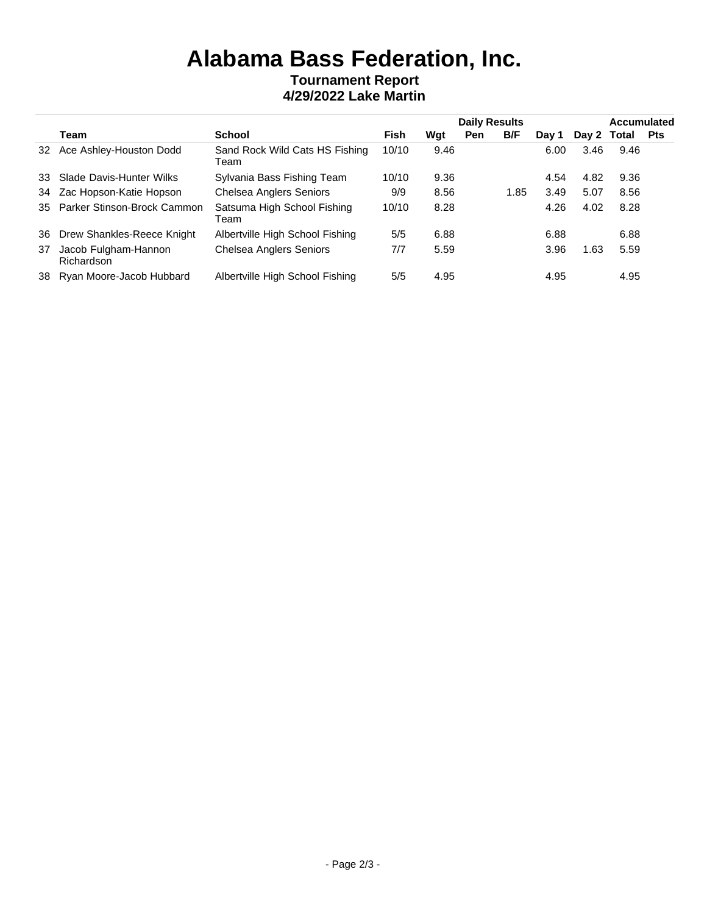## **Alabama Bass Federation, Inc. Tournament Report 4/29/2022 Lake Martin**

|    |                                    |                                        |       |      | <b>Daily Results</b> |      |       |             | <b>Accumulated</b> |            |  |
|----|------------------------------------|----------------------------------------|-------|------|----------------------|------|-------|-------------|--------------------|------------|--|
|    | Team                               | <b>School</b>                          | Fish  | Wgt  | Pen                  | B/F  | Dav 1 | Day 2 Total |                    | <b>Pts</b> |  |
|    | 32 Ace Ashley-Houston Dodd         | Sand Rock Wild Cats HS Fishing<br>Team | 10/10 | 9.46 |                      |      | 6.00  | 3.46        | 9.46               |            |  |
|    | 33 Slade Davis-Hunter Wilks        | Sylvania Bass Fishing Team             | 10/10 | 9.36 |                      |      | 4.54  | 4.82        | 9.36               |            |  |
|    | 34 Zac Hopson-Katie Hopson         | <b>Chelsea Anglers Seniors</b>         | 9/9   | 8.56 |                      | 1.85 | 3.49  | 5.07        | 8.56               |            |  |
|    | 35 Parker Stinson-Brock Cammon     | Satsuma High School Fishing<br>Team    | 10/10 | 8.28 |                      |      | 4.26  | 4.02        | 8.28               |            |  |
|    | 36 Drew Shankles-Reece Knight      | Albertville High School Fishing        | 5/5   | 6.88 |                      |      | 6.88  |             | 6.88               |            |  |
| 37 | Jacob Fulgham-Hannon<br>Richardson | Chelsea Anglers Seniors                | 7/7   | 5.59 |                      |      | 3.96  | .63،        | 5.59               |            |  |
|    | 38 Ryan Moore-Jacob Hubbard        | Albertville High School Fishing        | 5/5   | 4.95 |                      |      | 4.95  |             | 4.95               |            |  |